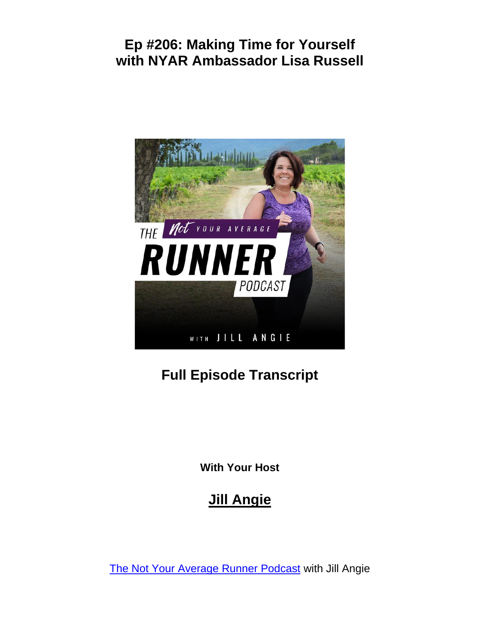

# **Full Episode Transcript**

**With Your Host**

## **Jill Angie**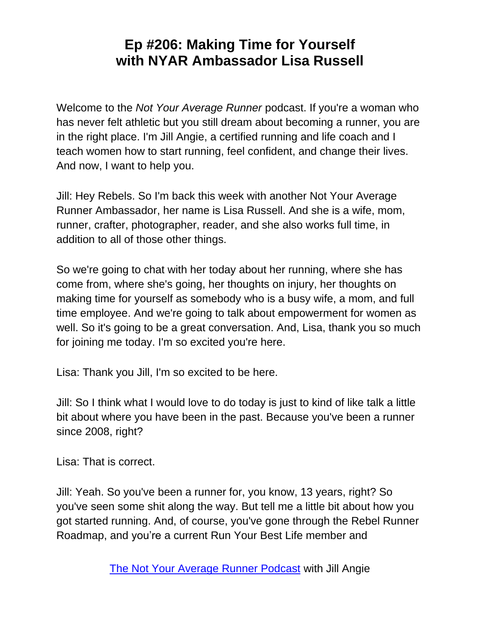Welcome to the *Not Your Average Runner* podcast. If you're a woman who has never felt athletic but you still dream about becoming a runner, you are in the right place. I'm Jill Angie, a certified running and life coach and I teach women how to start running, feel confident, and change their lives. And now, I want to help you.

Jill: Hey Rebels. So I'm back this week with another Not Your Average Runner Ambassador, her name is Lisa Russell. And she is a wife, mom, runner, crafter, photographer, reader, and she also works full time, in addition to all of those other things.

So we're going to chat with her today about her running, where she has come from, where she's going, her thoughts on injury, her thoughts on making time for yourself as somebody who is a busy wife, a mom, and full time employee. And we're going to talk about empowerment for women as well. So it's going to be a great conversation. And, Lisa, thank you so much for joining me today. I'm so excited you're here.

Lisa: Thank you Jill, I'm so excited to be here.

Jill: So I think what I would love to do today is just to kind of like talk a little bit about where you have been in the past. Because you've been a runner since 2008, right?

Lisa: That is correct.

Jill: Yeah. So you've been a runner for, you know, 13 years, right? So you've seen some shit along the way. But tell me a little bit about how you got started running. And, of course, you've gone through the Rebel Runner Roadmap, and you're a current Run Your Best Life member and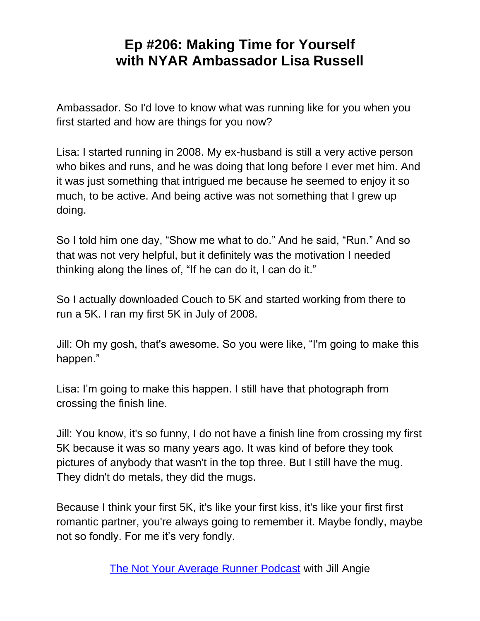Ambassador. So I'd love to know what was running like for you when you first started and how are things for you now?

Lisa: I started running in 2008. My ex-husband is still a very active person who bikes and runs, and he was doing that long before I ever met him. And it was just something that intrigued me because he seemed to enjoy it so much, to be active. And being active was not something that I grew up doing.

So I told him one day, "Show me what to do." And he said, "Run." And so that was not very helpful, but it definitely was the motivation I needed thinking along the lines of, "If he can do it, I can do it."

So I actually downloaded Couch to 5K and started working from there to run a 5K. I ran my first 5K in July of 2008.

Jill: Oh my gosh, that's awesome. So you were like, "I'm going to make this happen."

Lisa: I'm going to make this happen. I still have that photograph from crossing the finish line.

Jill: You know, it's so funny, I do not have a finish line from crossing my first 5K because it was so many years ago. It was kind of before they took pictures of anybody that wasn't in the top three. But I still have the mug. They didn't do metals, they did the mugs.

Because I think your first 5K, it's like your first kiss, it's like your first first romantic partner, you're always going to remember it. Maybe fondly, maybe not so fondly. For me it's very fondly.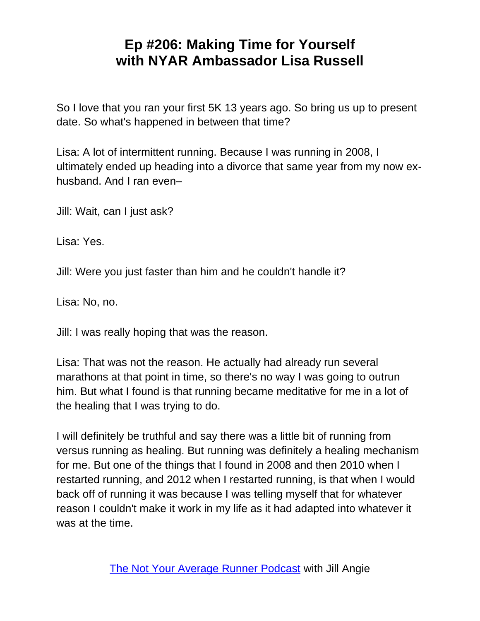So I love that you ran your first 5K 13 years ago. So bring us up to present date. So what's happened in between that time?

Lisa: A lot of intermittent running. Because I was running in 2008, I ultimately ended up heading into a divorce that same year from my now exhusband. And I ran even–

Jill: Wait, can I just ask?

Lisa: Yes.

Jill: Were you just faster than him and he couldn't handle it?

Lisa: No, no.

Jill: I was really hoping that was the reason.

Lisa: That was not the reason. He actually had already run several marathons at that point in time, so there's no way I was going to outrun him. But what I found is that running became meditative for me in a lot of the healing that I was trying to do.

I will definitely be truthful and say there was a little bit of running from versus running as healing. But running was definitely a healing mechanism for me. But one of the things that I found in 2008 and then 2010 when I restarted running, and 2012 when I restarted running, is that when I would back off of running it was because I was telling myself that for whatever reason I couldn't make it work in my life as it had adapted into whatever it was at the time.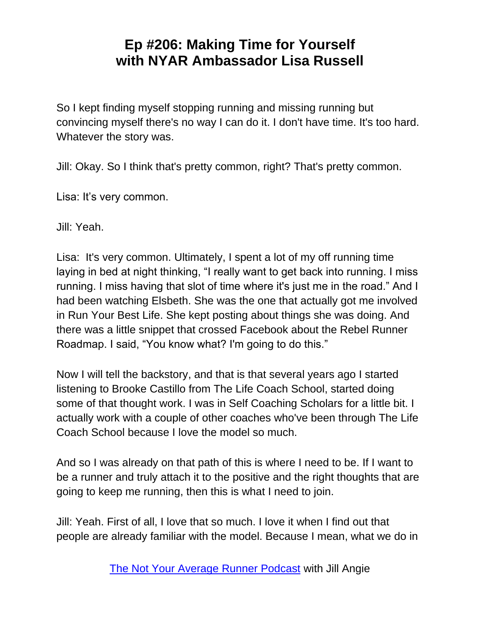So I kept finding myself stopping running and missing running but convincing myself there's no way I can do it. I don't have time. It's too hard. Whatever the story was.

Jill: Okay. So I think that's pretty common, right? That's pretty common.

Lisa: It's very common.

Jill: Yeah.

Lisa: It's very common. Ultimately, I spent a lot of my off running time laying in bed at night thinking, "I really want to get back into running. I miss running. I miss having that slot of time where it's just me in the road." And I had been watching Elsbeth. She was the one that actually got me involved in Run Your Best Life. She kept posting about things she was doing. And there was a little snippet that crossed Facebook about the Rebel Runner Roadmap. I said, "You know what? I'm going to do this."

Now I will tell the backstory, and that is that several years ago I started listening to Brooke Castillo from The Life Coach School, started doing some of that thought work. I was in Self Coaching Scholars for a little bit. I actually work with a couple of other coaches who've been through The Life Coach School because I love the model so much.

And so I was already on that path of this is where I need to be. If I want to be a runner and truly attach it to the positive and the right thoughts that are going to keep me running, then this is what I need to join.

Jill: Yeah. First of all, I love that so much. I love it when I find out that people are already familiar with the model. Because I mean, what we do in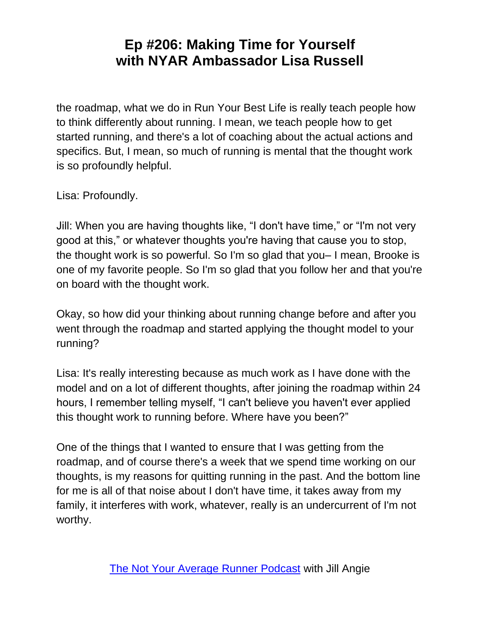the roadmap, what we do in Run Your Best Life is really teach people how to think differently about running. I mean, we teach people how to get started running, and there's a lot of coaching about the actual actions and specifics. But, I mean, so much of running is mental that the thought work is so profoundly helpful.

Lisa: Profoundly.

Jill: When you are having thoughts like, "I don't have time," or "I'm not very good at this," or whatever thoughts you're having that cause you to stop, the thought work is so powerful. So I'm so glad that you– I mean, Brooke is one of my favorite people. So I'm so glad that you follow her and that you're on board with the thought work.

Okay, so how did your thinking about running change before and after you went through the roadmap and started applying the thought model to your running?

Lisa: It's really interesting because as much work as I have done with the model and on a lot of different thoughts, after joining the roadmap within 24 hours, I remember telling myself, "I can't believe you haven't ever applied this thought work to running before. Where have you been?"

One of the things that I wanted to ensure that I was getting from the roadmap, and of course there's a week that we spend time working on our thoughts, is my reasons for quitting running in the past. And the bottom line for me is all of that noise about I don't have time, it takes away from my family, it interferes with work, whatever, really is an undercurrent of I'm not worthy.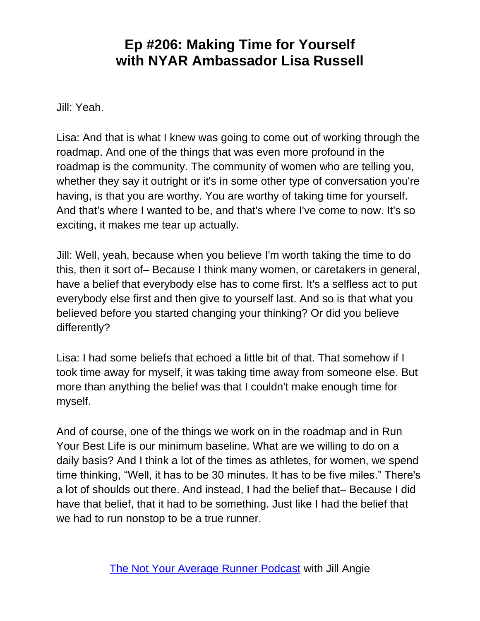Jill: Yeah.

Lisa: And that is what I knew was going to come out of working through the roadmap. And one of the things that was even more profound in the roadmap is the community. The community of women who are telling you, whether they say it outright or it's in some other type of conversation you're having, is that you are worthy. You are worthy of taking time for yourself. And that's where I wanted to be, and that's where I've come to now. It's so exciting, it makes me tear up actually.

Jill: Well, yeah, because when you believe I'm worth taking the time to do this, then it sort of– Because I think many women, or caretakers in general, have a belief that everybody else has to come first. It's a selfless act to put everybody else first and then give to yourself last. And so is that what you believed before you started changing your thinking? Or did you believe differently?

Lisa: I had some beliefs that echoed a little bit of that. That somehow if I took time away for myself, it was taking time away from someone else. But more than anything the belief was that I couldn't make enough time for myself.

And of course, one of the things we work on in the roadmap and in Run Your Best Life is our minimum baseline. What are we willing to do on a daily basis? And I think a lot of the times as athletes, for women, we spend time thinking, "Well, it has to be 30 minutes. It has to be five miles." There's a lot of shoulds out there. And instead, I had the belief that– Because I did have that belief, that it had to be something. Just like I had the belief that we had to run nonstop to be a true runner.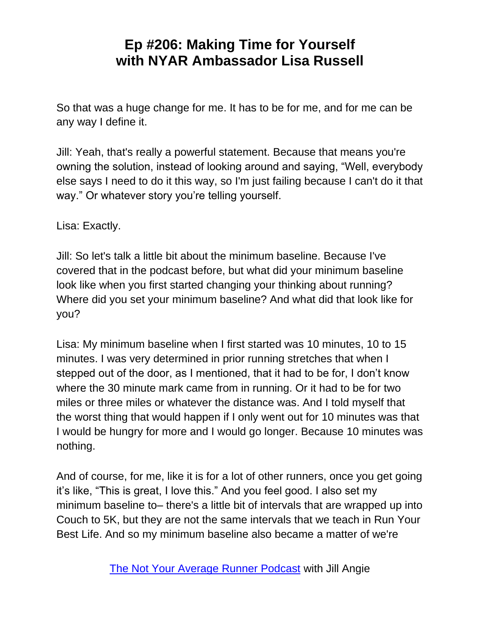So that was a huge change for me. It has to be for me, and for me can be any way I define it.

Jill: Yeah, that's really a powerful statement. Because that means you're owning the solution, instead of looking around and saying, "Well, everybody else says I need to do it this way, so I'm just failing because I can't do it that way." Or whatever story you're telling yourself.

Lisa: Exactly.

Jill: So let's talk a little bit about the minimum baseline. Because I've covered that in the podcast before, but what did your minimum baseline look like when you first started changing your thinking about running? Where did you set your minimum baseline? And what did that look like for you?

Lisa: My minimum baseline when I first started was 10 minutes, 10 to 15 minutes. I was very determined in prior running stretches that when I stepped out of the door, as I mentioned, that it had to be for, I don't know where the 30 minute mark came from in running. Or it had to be for two miles or three miles or whatever the distance was. And I told myself that the worst thing that would happen if I only went out for 10 minutes was that I would be hungry for more and I would go longer. Because 10 minutes was nothing.

And of course, for me, like it is for a lot of other runners, once you get going it's like, "This is great, I love this." And you feel good. I also set my minimum baseline to– there's a little bit of intervals that are wrapped up into Couch to 5K, but they are not the same intervals that we teach in Run Your Best Life. And so my minimum baseline also became a matter of we're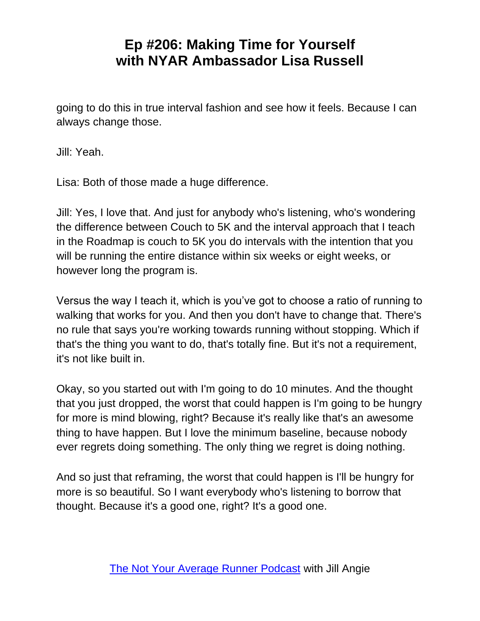going to do this in true interval fashion and see how it feels. Because I can always change those.

Jill: Yeah.

Lisa: Both of those made a huge difference.

Jill: Yes, I love that. And just for anybody who's listening, who's wondering the difference between Couch to 5K and the interval approach that I teach in the Roadmap is couch to 5K you do intervals with the intention that you will be running the entire distance within six weeks or eight weeks, or however long the program is.

Versus the way I teach it, which is you've got to choose a ratio of running to walking that works for you. And then you don't have to change that. There's no rule that says you're working towards running without stopping. Which if that's the thing you want to do, that's totally fine. But it's not a requirement, it's not like built in.

Okay, so you started out with I'm going to do 10 minutes. And the thought that you just dropped, the worst that could happen is I'm going to be hungry for more is mind blowing, right? Because it's really like that's an awesome thing to have happen. But I love the minimum baseline, because nobody ever regrets doing something. The only thing we regret is doing nothing.

And so just that reframing, the worst that could happen is I'll be hungry for more is so beautiful. So I want everybody who's listening to borrow that thought. Because it's a good one, right? It's a good one.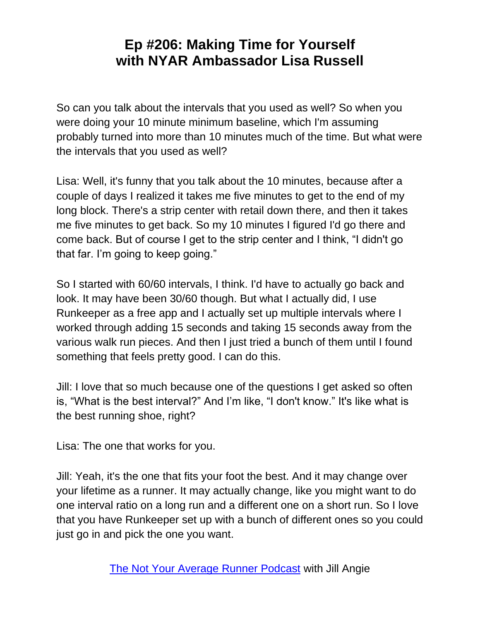So can you talk about the intervals that you used as well? So when you were doing your 10 minute minimum baseline, which I'm assuming probably turned into more than 10 minutes much of the time. But what were the intervals that you used as well?

Lisa: Well, it's funny that you talk about the 10 minutes, because after a couple of days I realized it takes me five minutes to get to the end of my long block. There's a strip center with retail down there, and then it takes me five minutes to get back. So my 10 minutes I figured I'd go there and come back. But of course I get to the strip center and I think, "I didn't go that far. I'm going to keep going."

So I started with 60/60 intervals, I think. I'd have to actually go back and look. It may have been 30/60 though. But what I actually did, I use Runkeeper as a free app and I actually set up multiple intervals where I worked through adding 15 seconds and taking 15 seconds away from the various walk run pieces. And then I just tried a bunch of them until I found something that feels pretty good. I can do this.

Jill: I love that so much because one of the questions I get asked so often is, "What is the best interval?" And I'm like, "I don't know." It's like what is the best running shoe, right?

Lisa: The one that works for you.

Jill: Yeah, it's the one that fits your foot the best. And it may change over your lifetime as a runner. It may actually change, like you might want to do one interval ratio on a long run and a different one on a short run. So I love that you have Runkeeper set up with a bunch of different ones so you could just go in and pick the one you want.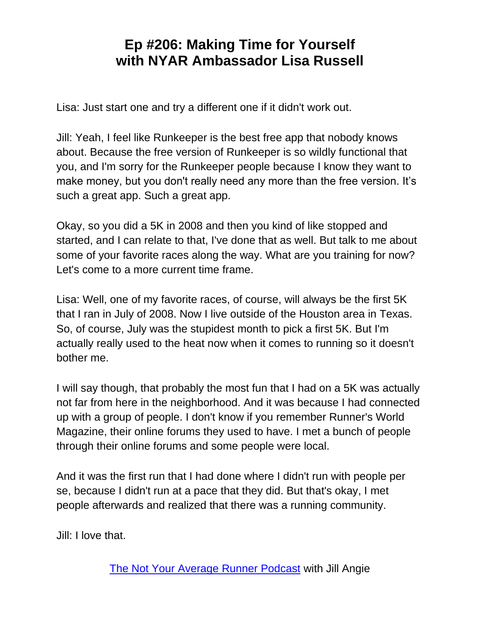Lisa: Just start one and try a different one if it didn't work out.

Jill: Yeah, I feel like Runkeeper is the best free app that nobody knows about. Because the free version of Runkeeper is so wildly functional that you, and I'm sorry for the Runkeeper people because I know they want to make money, but you don't really need any more than the free version. It's such a great app. Such a great app.

Okay, so you did a 5K in 2008 and then you kind of like stopped and started, and I can relate to that, I've done that as well. But talk to me about some of your favorite races along the way. What are you training for now? Let's come to a more current time frame.

Lisa: Well, one of my favorite races, of course, will always be the first 5K that I ran in July of 2008. Now I live outside of the Houston area in Texas. So, of course, July was the stupidest month to pick a first 5K. But I'm actually really used to the heat now when it comes to running so it doesn't bother me.

I will say though, that probably the most fun that I had on a 5K was actually not far from here in the neighborhood. And it was because I had connected up with a group of people. I don't know if you remember Runner's World Magazine, their online forums they used to have. I met a bunch of people through their online forums and some people were local.

And it was the first run that I had done where I didn't run with people per se, because I didn't run at a pace that they did. But that's okay, I met people afterwards and realized that there was a running community.

Jill: I love that.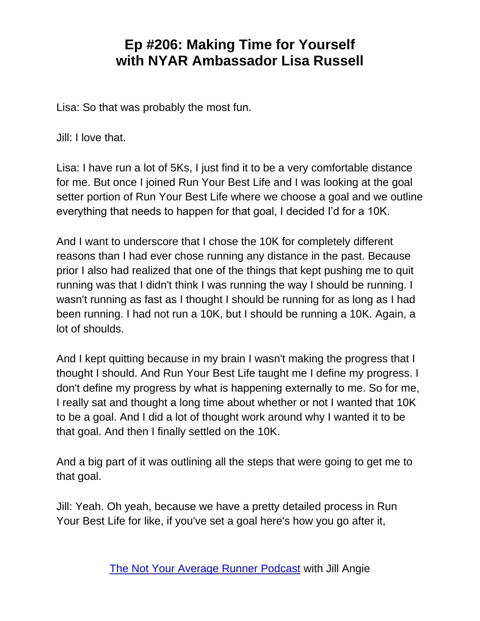Lisa: So that was probably the most fun.

Jill: I love that.

Lisa: I have run a lot of 5Ks, I just find it to be a very comfortable distance for me. But once I joined Run Your Best Life and I was looking at the goal setter portion of Run Your Best Life where we choose a goal and we outline everything that needs to happen for that goal, I decided I'd for a 10K.

And I want to underscore that I chose the 10K for completely different reasons than I had ever chose running any distance in the past. Because prior I also had realized that one of the things that kept pushing me to quit running was that I didn't think I was running the way I should be running. I wasn't running as fast as I thought I should be running for as long as I had been running. I had not run a 10K, but I should be running a 10K. Again, a lot of shoulds.

And I kept quitting because in my brain I wasn't making the progress that I thought I should. And Run Your Best Life taught me I define my progress. I don't define my progress by what is happening externally to me. So for me, I really sat and thought a long time about whether or not I wanted that 10K to be a goal. And I did a lot of thought work around why I wanted it to be that goal. And then I finally settled on the 10K.

And a big part of it was outlining all the steps that were going to get me to that goal.

Jill: Yeah. Oh yeah, because we have a pretty detailed process in Run Your Best Life for like, if you've set a goal here's how you go after it,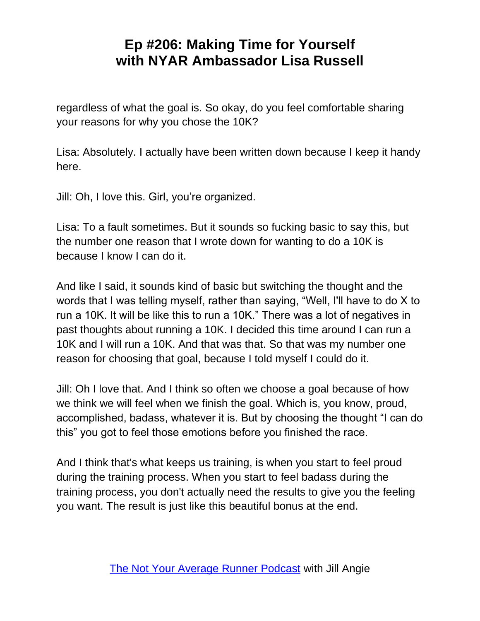regardless of what the goal is. So okay, do you feel comfortable sharing your reasons for why you chose the 10K?

Lisa: Absolutely. I actually have been written down because I keep it handy here.

Jill: Oh, I love this. Girl, you're organized.

Lisa: To a fault sometimes. But it sounds so fucking basic to say this, but the number one reason that I wrote down for wanting to do a 10K is because I know I can do it.

And like I said, it sounds kind of basic but switching the thought and the words that I was telling myself, rather than saying, "Well, I'll have to do X to run a 10K. It will be like this to run a 10K." There was a lot of negatives in past thoughts about running a 10K. I decided this time around I can run a 10K and I will run a 10K. And that was that. So that was my number one reason for choosing that goal, because I told myself I could do it.

Jill: Oh I love that. And I think so often we choose a goal because of how we think we will feel when we finish the goal. Which is, you know, proud, accomplished, badass, whatever it is. But by choosing the thought "I can do this" you got to feel those emotions before you finished the race.

And I think that's what keeps us training, is when you start to feel proud during the training process. When you start to feel badass during the training process, you don't actually need the results to give you the feeling you want. The result is just like this beautiful bonus at the end.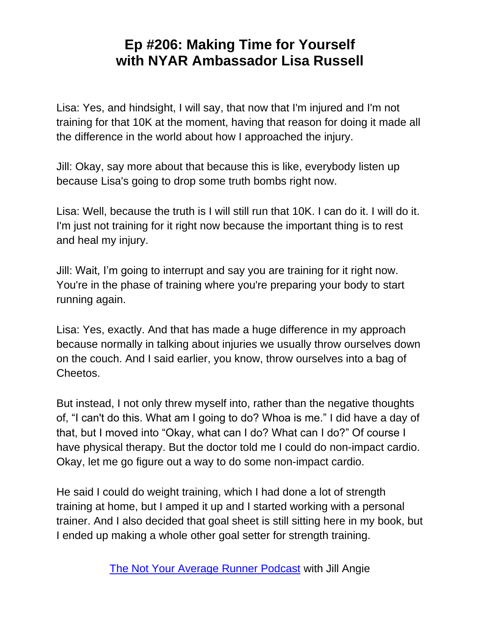Lisa: Yes, and hindsight, I will say, that now that I'm injured and I'm not training for that 10K at the moment, having that reason for doing it made all the difference in the world about how I approached the injury.

Jill: Okay, say more about that because this is like, everybody listen up because Lisa's going to drop some truth bombs right now.

Lisa: Well, because the truth is I will still run that 10K. I can do it. I will do it. I'm just not training for it right now because the important thing is to rest and heal my injury.

Jill: Wait, I'm going to interrupt and say you are training for it right now. You're in the phase of training where you're preparing your body to start running again.

Lisa: Yes, exactly. And that has made a huge difference in my approach because normally in talking about injuries we usually throw ourselves down on the couch. And I said earlier, you know, throw ourselves into a bag of Cheetos.

But instead, I not only threw myself into, rather than the negative thoughts of, "I can't do this. What am I going to do? Whoa is me." I did have a day of that, but I moved into "Okay, what can I do? What can I do?" Of course I have physical therapy. But the doctor told me I could do non-impact cardio. Okay, let me go figure out a way to do some non-impact cardio.

He said I could do weight training, which I had done a lot of strength training at home, but I amped it up and I started working with a personal trainer. And I also decided that goal sheet is still sitting here in my book, but I ended up making a whole other goal setter for strength training.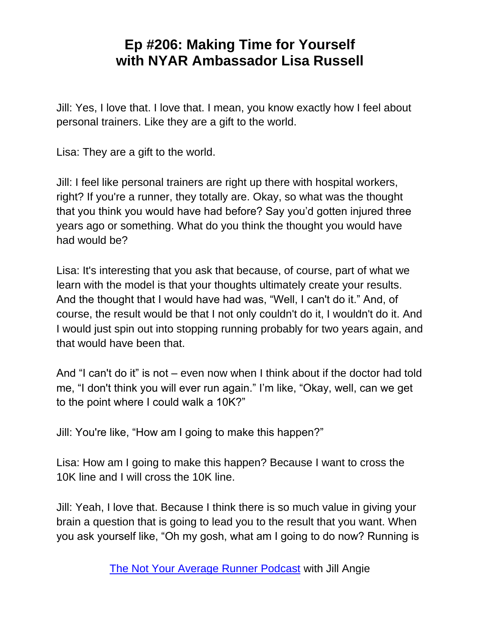Jill: Yes, I love that. I love that. I mean, you know exactly how I feel about personal trainers. Like they are a gift to the world.

Lisa: They are a gift to the world.

Jill: I feel like personal trainers are right up there with hospital workers, right? If you're a runner, they totally are. Okay, so what was the thought that you think you would have had before? Say you'd gotten injured three years ago or something. What do you think the thought you would have had would be?

Lisa: It's interesting that you ask that because, of course, part of what we learn with the model is that your thoughts ultimately create your results. And the thought that I would have had was, "Well, I can't do it." And, of course, the result would be that I not only couldn't do it, I wouldn't do it. And I would just spin out into stopping running probably for two years again, and that would have been that.

And "I can't do it" is not – even now when I think about if the doctor had told me, "I don't think you will ever run again." I'm like, "Okay, well, can we get to the point where I could walk a 10K?"

Jill: You're like, "How am I going to make this happen?"

Lisa: How am I going to make this happen? Because I want to cross the 10K line and I will cross the 10K line.

Jill: Yeah, I love that. Because I think there is so much value in giving your brain a question that is going to lead you to the result that you want. When you ask yourself like, "Oh my gosh, what am I going to do now? Running is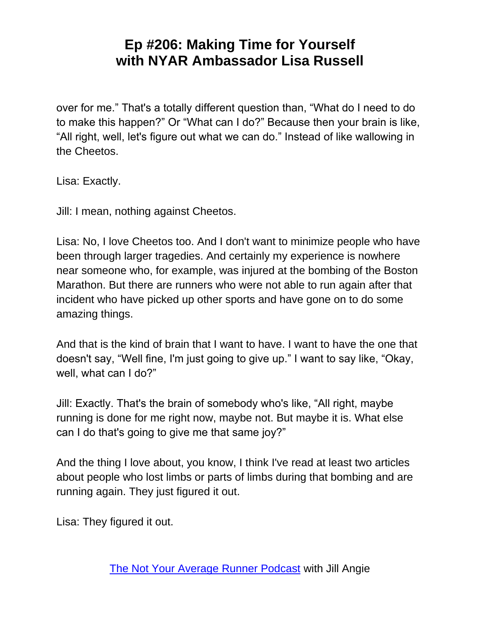over for me." That's a totally different question than, "What do I need to do to make this happen?" Or "What can I do?" Because then your brain is like, "All right, well, let's figure out what we can do." Instead of like wallowing in the Cheetos.

Lisa: Exactly.

Jill: I mean, nothing against Cheetos.

Lisa: No, I love Cheetos too. And I don't want to minimize people who have been through larger tragedies. And certainly my experience is nowhere near someone who, for example, was injured at the bombing of the Boston Marathon. But there are runners who were not able to run again after that incident who have picked up other sports and have gone on to do some amazing things.

And that is the kind of brain that I want to have. I want to have the one that doesn't say, "Well fine, I'm just going to give up." I want to say like, "Okay, well, what can I do?"

Jill: Exactly. That's the brain of somebody who's like, "All right, maybe running is done for me right now, maybe not. But maybe it is. What else can I do that's going to give me that same joy?"

And the thing I love about, you know, I think I've read at least two articles about people who lost limbs or parts of limbs during that bombing and are running again. They just figured it out.

Lisa: They figured it out.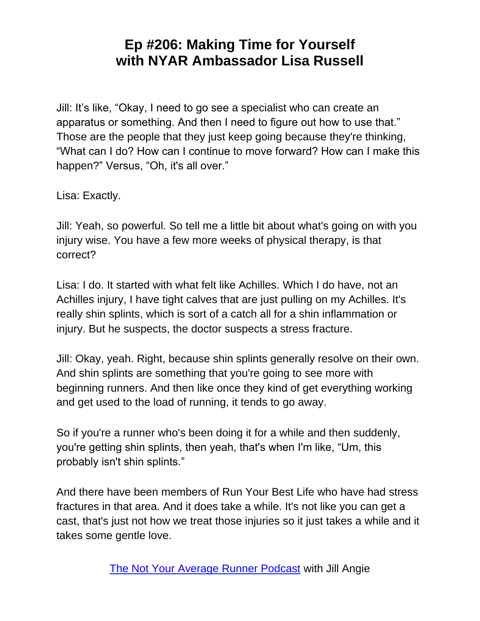Jill: It's like, "Okay, I need to go see a specialist who can create an apparatus or something. And then I need to figure out how to use that." Those are the people that they just keep going because they're thinking, "What can I do? How can I continue to move forward? How can I make this happen?" Versus, "Oh, it's all over."

Lisa: Exactly.

Jill: Yeah, so powerful. So tell me a little bit about what's going on with you injury wise. You have a few more weeks of physical therapy, is that correct?

Lisa: I do. It started with what felt like Achilles. Which I do have, not an Achilles injury, I have tight calves that are just pulling on my Achilles. It's really shin splints, which is sort of a catch all for a shin inflammation or injury. But he suspects, the doctor suspects a stress fracture.

Jill: Okay, yeah. Right, because shin splints generally resolve on their own. And shin splints are something that you're going to see more with beginning runners. And then like once they kind of get everything working and get used to the load of running, it tends to go away.

So if you're a runner who's been doing it for a while and then suddenly, you're getting shin splints, then yeah, that's when I'm like, "Um, this probably isn't shin splints."

And there have been members of Run Your Best Life who have had stress fractures in that area. And it does take a while. It's not like you can get a cast, that's just not how we treat those injuries so it just takes a while and it takes some gentle love.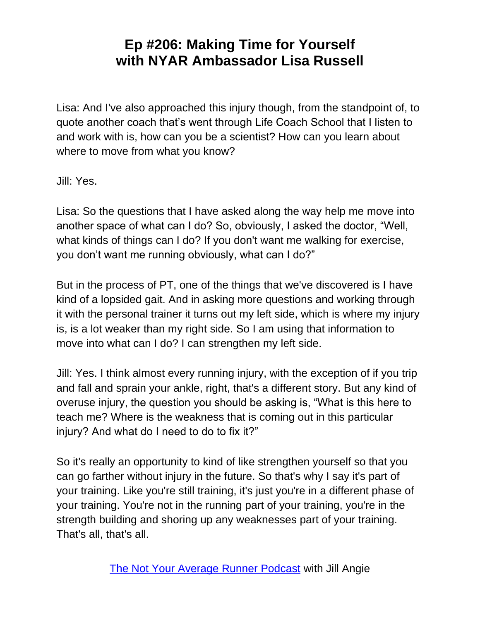Lisa: And I've also approached this injury though, from the standpoint of, to quote another coach that's went through Life Coach School that I listen to and work with is, how can you be a scientist? How can you learn about where to move from what you know?

Jill: Yes.

Lisa: So the questions that I have asked along the way help me move into another space of what can I do? So, obviously, I asked the doctor, "Well, what kinds of things can I do? If you don't want me walking for exercise, you don't want me running obviously, what can I do?"

But in the process of PT, one of the things that we've discovered is I have kind of a lopsided gait. And in asking more questions and working through it with the personal trainer it turns out my left side, which is where my injury is, is a lot weaker than my right side. So I am using that information to move into what can I do? I can strengthen my left side.

Jill: Yes. I think almost every running injury, with the exception of if you trip and fall and sprain your ankle, right, that's a different story. But any kind of overuse injury, the question you should be asking is, "What is this here to teach me? Where is the weakness that is coming out in this particular injury? And what do I need to do to fix it?"

So it's really an opportunity to kind of like strengthen yourself so that you can go farther without injury in the future. So that's why I say it's part of your training. Like you're still training, it's just you're in a different phase of your training. You're not in the running part of your training, you're in the strength building and shoring up any weaknesses part of your training. That's all, that's all.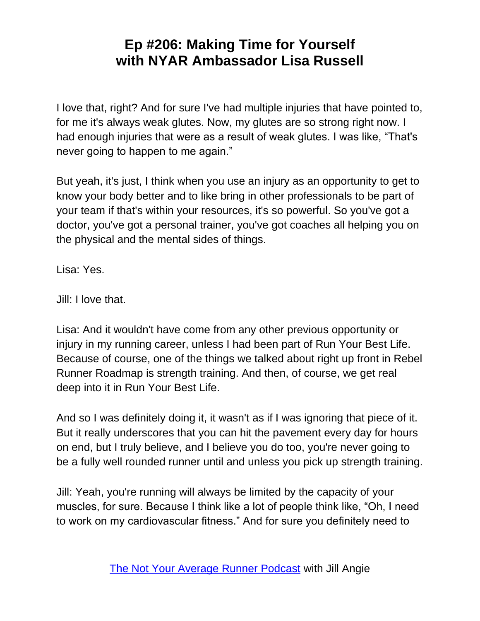I love that, right? And for sure I've had multiple injuries that have pointed to, for me it's always weak glutes. Now, my glutes are so strong right now. I had enough injuries that were as a result of weak glutes. I was like, "That's never going to happen to me again."

But yeah, it's just, I think when you use an injury as an opportunity to get to know your body better and to like bring in other professionals to be part of your team if that's within your resources, it's so powerful. So you've got a doctor, you've got a personal trainer, you've got coaches all helping you on the physical and the mental sides of things.

Lisa: Yes.

Jill: I love that.

Lisa: And it wouldn't have come from any other previous opportunity or injury in my running career, unless I had been part of Run Your Best Life. Because of course, one of the things we talked about right up front in Rebel Runner Roadmap is strength training. And then, of course, we get real deep into it in Run Your Best Life.

And so I was definitely doing it, it wasn't as if I was ignoring that piece of it. But it really underscores that you can hit the pavement every day for hours on end, but I truly believe, and I believe you do too, you're never going to be a fully well rounded runner until and unless you pick up strength training.

Jill: Yeah, you're running will always be limited by the capacity of your muscles, for sure. Because I think like a lot of people think like, "Oh, I need to work on my cardiovascular fitness." And for sure you definitely need to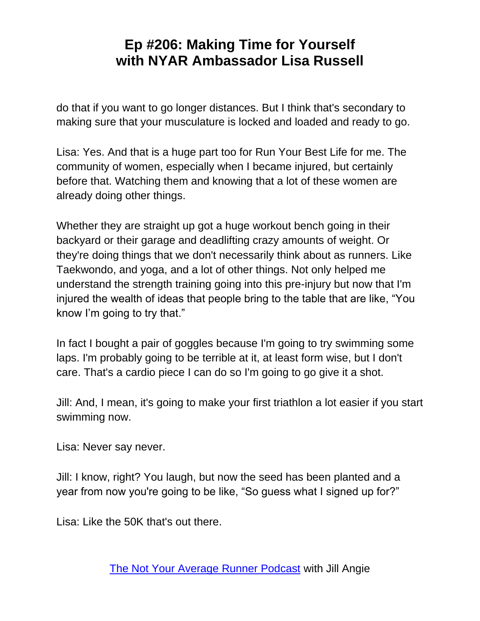do that if you want to go longer distances. But I think that's secondary to making sure that your musculature is locked and loaded and ready to go.

Lisa: Yes. And that is a huge part too for Run Your Best Life for me. The community of women, especially when I became injured, but certainly before that. Watching them and knowing that a lot of these women are already doing other things.

Whether they are straight up got a huge workout bench going in their backyard or their garage and deadlifting crazy amounts of weight. Or they're doing things that we don't necessarily think about as runners. Like Taekwondo, and yoga, and a lot of other things. Not only helped me understand the strength training going into this pre-injury but now that I'm injured the wealth of ideas that people bring to the table that are like, "You know I'm going to try that."

In fact I bought a pair of goggles because I'm going to try swimming some laps. I'm probably going to be terrible at it, at least form wise, but I don't care. That's a cardio piece I can do so I'm going to go give it a shot.

Jill: And, I mean, it's going to make your first triathlon a lot easier if you start swimming now.

Lisa: Never say never.

Jill: I know, right? You laugh, but now the seed has been planted and a year from now you're going to be like, "So guess what I signed up for?"

Lisa: Like the 50K that's out there.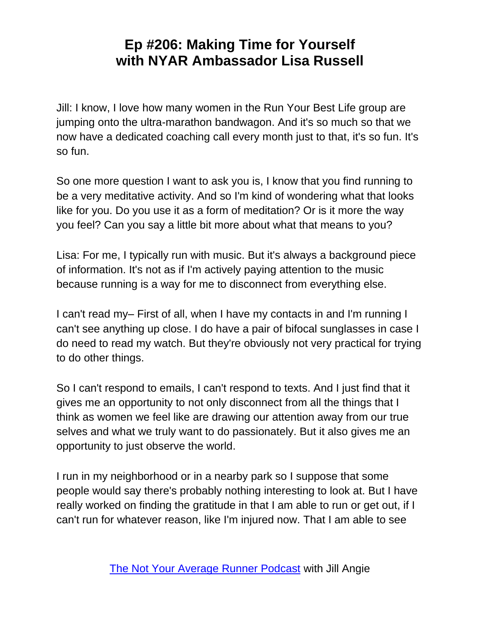Jill: I know, I love how many women in the Run Your Best Life group are jumping onto the ultra-marathon bandwagon. And it's so much so that we now have a dedicated coaching call every month just to that, it's so fun. It's so fun.

So one more question I want to ask you is, I know that you find running to be a very meditative activity. And so I'm kind of wondering what that looks like for you. Do you use it as a form of meditation? Or is it more the way you feel? Can you say a little bit more about what that means to you?

Lisa: For me, I typically run with music. But it's always a background piece of information. It's not as if I'm actively paying attention to the music because running is a way for me to disconnect from everything else.

I can't read my– First of all, when I have my contacts in and I'm running I can't see anything up close. I do have a pair of bifocal sunglasses in case I do need to read my watch. But they're obviously not very practical for trying to do other things.

So I can't respond to emails, I can't respond to texts. And I just find that it gives me an opportunity to not only disconnect from all the things that I think as women we feel like are drawing our attention away from our true selves and what we truly want to do passionately. But it also gives me an opportunity to just observe the world.

I run in my neighborhood or in a nearby park so I suppose that some people would say there's probably nothing interesting to look at. But I have really worked on finding the gratitude in that I am able to run or get out, if I can't run for whatever reason, like I'm injured now. That I am able to see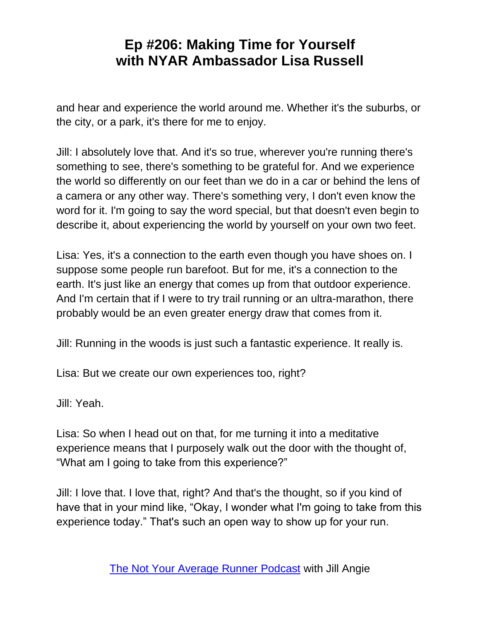and hear and experience the world around me. Whether it's the suburbs, or the city, or a park, it's there for me to enjoy.

Jill: I absolutely love that. And it's so true, wherever you're running there's something to see, there's something to be grateful for. And we experience the world so differently on our feet than we do in a car or behind the lens of a camera or any other way. There's something very, I don't even know the word for it. I'm going to say the word special, but that doesn't even begin to describe it, about experiencing the world by yourself on your own two feet.

Lisa: Yes, it's a connection to the earth even though you have shoes on. I suppose some people run barefoot. But for me, it's a connection to the earth. It's just like an energy that comes up from that outdoor experience. And I'm certain that if I were to try trail running or an ultra-marathon, there probably would be an even greater energy draw that comes from it.

Jill: Running in the woods is just such a fantastic experience. It really is.

Lisa: But we create our own experiences too, right?

Jill: Yeah.

Lisa: So when I head out on that, for me turning it into a meditative experience means that I purposely walk out the door with the thought of, "What am I going to take from this experience?"

Jill: I love that. I love that, right? And that's the thought, so if you kind of have that in your mind like, "Okay, I wonder what I'm going to take from this experience today." That's such an open way to show up for your run.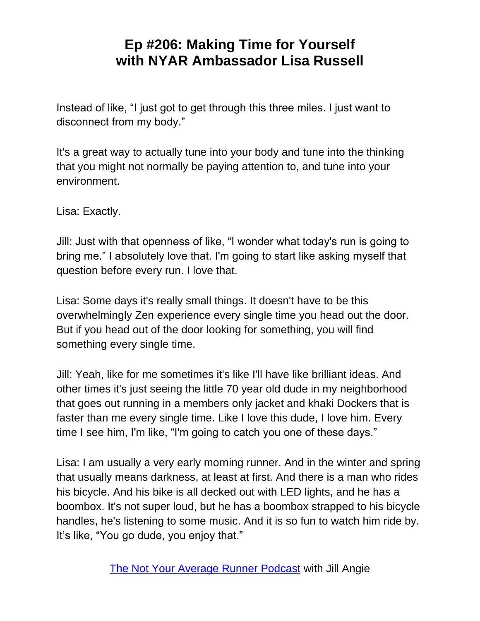Instead of like, "I just got to get through this three miles. I just want to disconnect from my body."

It's a great way to actually tune into your body and tune into the thinking that you might not normally be paying attention to, and tune into your environment.

Lisa: Exactly.

Jill: Just with that openness of like, "I wonder what today's run is going to bring me." I absolutely love that. I'm going to start like asking myself that question before every run. I love that.

Lisa: Some days it's really small things. It doesn't have to be this overwhelmingly Zen experience every single time you head out the door. But if you head out of the door looking for something, you will find something every single time.

Jill: Yeah, like for me sometimes it's like I'll have like brilliant ideas. And other times it's just seeing the little 70 year old dude in my neighborhood that goes out running in a members only jacket and khaki Dockers that is faster than me every single time. Like I love this dude, I love him. Every time I see him, I'm like, "I'm going to catch you one of these days."

Lisa: I am usually a very early morning runner. And in the winter and spring that usually means darkness, at least at first. And there is a man who rides his bicycle. And his bike is all decked out with LED lights, and he has a boombox. It's not super loud, but he has a boombox strapped to his bicycle handles, he's listening to some music. And it is so fun to watch him ride by. It's like, "You go dude, you enjoy that."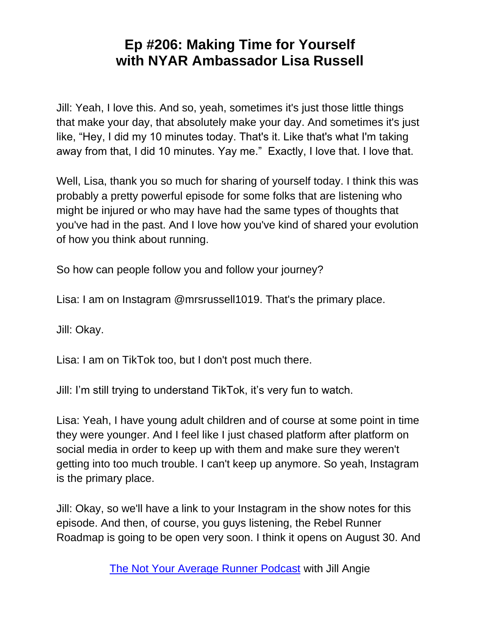Jill: Yeah, I love this. And so, yeah, sometimes it's just those little things that make your day, that absolutely make your day. And sometimes it's just like, "Hey, I did my 10 minutes today. That's it. Like that's what I'm taking away from that, I did 10 minutes. Yay me." Exactly, I love that. I love that.

Well, Lisa, thank you so much for sharing of yourself today. I think this was probably a pretty powerful episode for some folks that are listening who might be injured or who may have had the same types of thoughts that you've had in the past. And I love how you've kind of shared your evolution of how you think about running.

So how can people follow you and follow your journey?

Lisa: I am on Instagram @mrsrussell1019. That's the primary place.

Jill: Okay.

Lisa: I am on TikTok too, but I don't post much there.

Jill: I'm still trying to understand TikTok, it's very fun to watch.

Lisa: Yeah, I have young adult children and of course at some point in time they were younger. And I feel like I just chased platform after platform on social media in order to keep up with them and make sure they weren't getting into too much trouble. I can't keep up anymore. So yeah, Instagram is the primary place.

Jill: Okay, so we'll have a link to your Instagram in the show notes for this episode. And then, of course, you guys listening, the Rebel Runner Roadmap is going to be open very soon. I think it opens on August 30. And